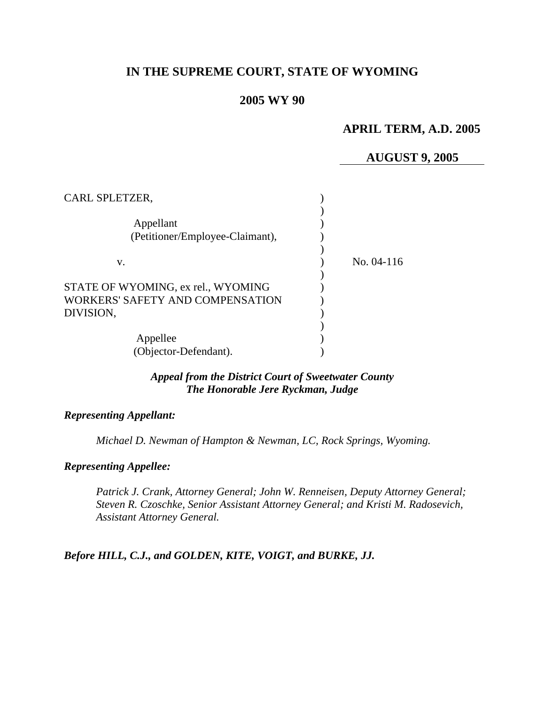# **IN THE SUPREME COURT, STATE OF WYOMING**

# **2005 WY 90**

# **APRIL TERM, A.D. 2005**

# **AUGUST 9, 2005**

| CARL SPLETZER,                                                                      |              |
|-------------------------------------------------------------------------------------|--------------|
| Appellant<br>(Petitioner/Employee-Claimant),                                        |              |
| V.                                                                                  | No. $04-116$ |
| STATE OF WYOMING, ex rel., WYOMING<br>WORKERS' SAFETY AND COMPENSATION<br>DIVISION, |              |
| Appellee<br>(Objector-Defendant).                                                   |              |

## *Appeal from the District Court of Sweetwater County The Honorable Jere Ryckman, Judge*

#### *Representing Appellant:*

*Michael D. Newman of Hampton & Newman, LC, Rock Springs, Wyoming.* 

# *Representing Appellee:*

*Patrick J. Crank, Attorney General; John W. Renneisen, Deputy Attorney General; Steven R. Czoschke, Senior Assistant Attorney General; and Kristi M. Radosevich, Assistant Attorney General.* 

*Before HILL, C.J., and GOLDEN, KITE, VOIGT, and BURKE, JJ.*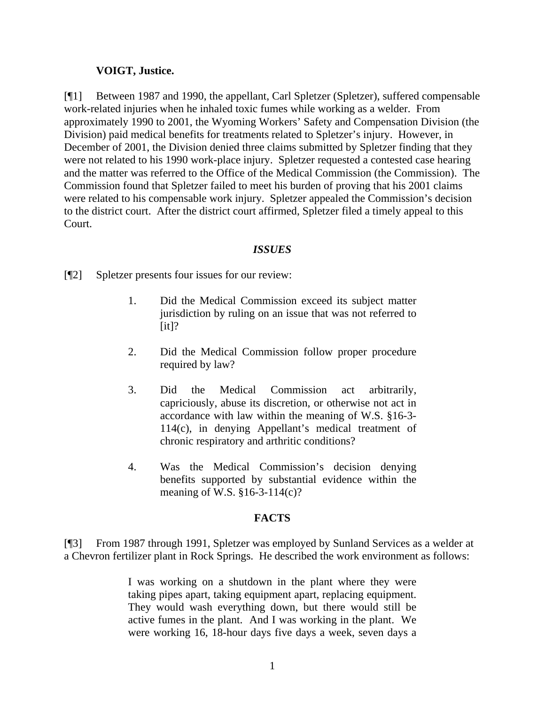## **VOIGT, Justice.**

[¶1] Between 1987 and 1990, the appellant, Carl Spletzer (Spletzer), suffered compensable work-related injuries when he inhaled toxic fumes while working as a welder. From approximately 1990 to 2001, the Wyoming Workers' Safety and Compensation Division (the Division) paid medical benefits for treatments related to Spletzer's injury. However, in December of 2001, the Division denied three claims submitted by Spletzer finding that they were not related to his 1990 work-place injury. Spletzer requested a contested case hearing and the matter was referred to the Office of the Medical Commission (the Commission). The Commission found that Spletzer failed to meet his burden of proving that his 2001 claims were related to his compensable work injury. Spletzer appealed the Commission's decision to the district court. After the district court affirmed, Spletzer filed a timely appeal to this Court.

# *ISSUES*

[¶2] Spletzer presents four issues for our review:

- 1. Did the Medical Commission exceed its subject matter jurisdiction by ruling on an issue that was not referred to  $[it]$ ?
- 2. Did the Medical Commission follow proper procedure required by law?
- 3. Did the Medical Commission act arbitrarily, capriciously, abuse its discretion, or otherwise not act in accordance with law within the meaning of W.S. §16-3- 114(c), in denying Appellant's medical treatment of chronic respiratory and arthritic conditions?
- 4. Was the Medical Commission's decision denying benefits supported by substantial evidence within the meaning of W.S. §16-3-114(c)?

## **FACTS**

[¶3] From 1987 through 1991, Spletzer was employed by Sunland Services as a welder at a Chevron fertilizer plant in Rock Springs. He described the work environment as follows:

> I was working on a shutdown in the plant where they were taking pipes apart, taking equipment apart, replacing equipment. They would wash everything down, but there would still be active fumes in the plant. And I was working in the plant. We were working 16, 18-hour days five days a week, seven days a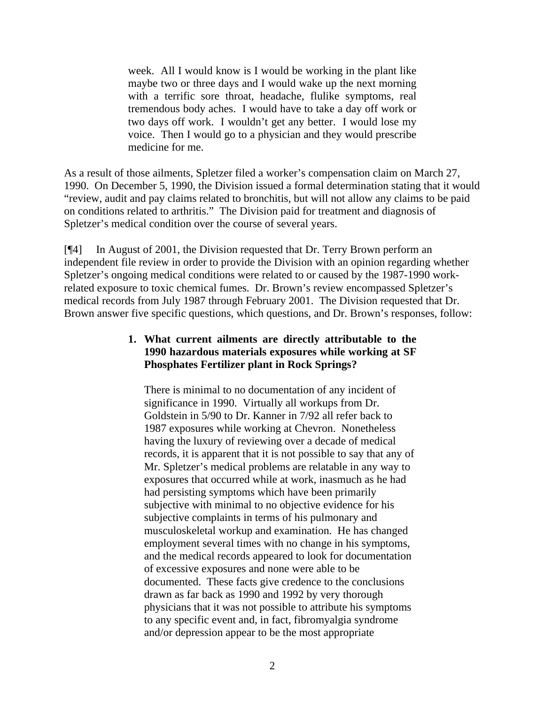week. All I would know is I would be working in the plant like maybe two or three days and I would wake up the next morning with a terrific sore throat, headache, flulike symptoms, real tremendous body aches. I would have to take a day off work or two days off work. I wouldn't get any better. I would lose my voice. Then I would go to a physician and they would prescribe medicine for me.

As a result of those ailments, Spletzer filed a worker's compensation claim on March 27, 1990. On December 5, 1990, the Division issued a formal determination stating that it would "review, audit and pay claims related to bronchitis, but will not allow any claims to be paid on conditions related to arthritis." The Division paid for treatment and diagnosis of Spletzer's medical condition over the course of several years.

[¶4] In August of 2001, the Division requested that Dr. Terry Brown perform an independent file review in order to provide the Division with an opinion regarding whether Spletzer's ongoing medical conditions were related to or caused by the 1987-1990 workrelated exposure to toxic chemical fumes. Dr. Brown's review encompassed Spletzer's medical records from July 1987 through February 2001. The Division requested that Dr. Brown answer five specific questions, which questions, and Dr. Brown's responses, follow:

# **1. What current ailments are directly attributable to the 1990 hazardous materials exposures while working at SF Phosphates Fertilizer plant in Rock Springs?**

There is minimal to no documentation of any incident of significance in 1990. Virtually all workups from Dr. Goldstein in 5/90 to Dr. Kanner in 7/92 all refer back to 1987 exposures while working at Chevron. Nonetheless having the luxury of reviewing over a decade of medical records, it is apparent that it is not possible to say that any of Mr. Spletzer's medical problems are relatable in any way to exposures that occurred while at work, inasmuch as he had had persisting symptoms which have been primarily subjective with minimal to no objective evidence for his subjective complaints in terms of his pulmonary and musculoskeletal workup and examination. He has changed employment several times with no change in his symptoms, and the medical records appeared to look for documentation of excessive exposures and none were able to be documented. These facts give credence to the conclusions drawn as far back as 1990 and 1992 by very thorough physicians that it was not possible to attribute his symptoms to any specific event and, in fact, fibromyalgia syndrome and/or depression appear to be the most appropriate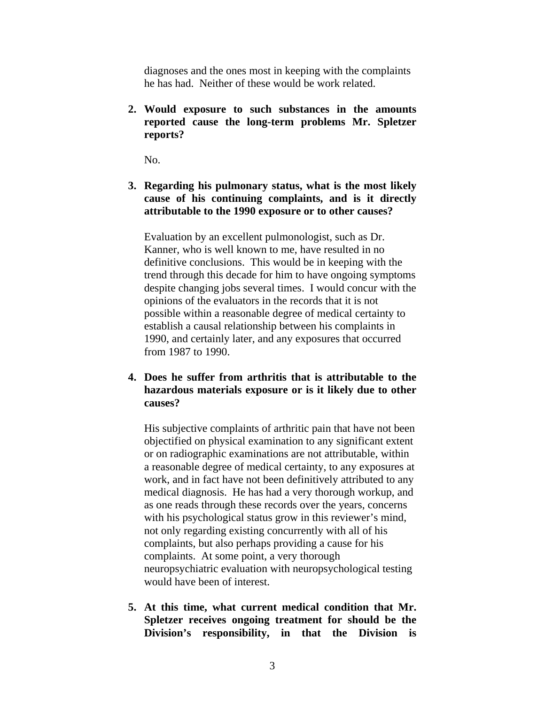diagnoses and the ones most in keeping with the complaints he has had. Neither of these would be work related.

**2. Would exposure to such substances in the amounts reported cause the long-term problems Mr. Spletzer reports?** 

No.

**3. Regarding his pulmonary status, what is the most likely cause of his continuing complaints, and is it directly attributable to the 1990 exposure or to other causes?** 

Evaluation by an excellent pulmonologist, such as Dr. Kanner, who is well known to me, have resulted in no definitive conclusions. This would be in keeping with the trend through this decade for him to have ongoing symptoms despite changing jobs several times. I would concur with the opinions of the evaluators in the records that it is not possible within a reasonable degree of medical certainty to establish a causal relationship between his complaints in 1990, and certainly later, and any exposures that occurred from 1987 to 1990.

**4. Does he suffer from arthritis that is attributable to the hazardous materials exposure or is it likely due to other causes?** 

His subjective complaints of arthritic pain that have not been objectified on physical examination to any significant extent or on radiographic examinations are not attributable, within a reasonable degree of medical certainty, to any exposures at work, and in fact have not been definitively attributed to any medical diagnosis. He has had a very thorough workup, and as one reads through these records over the years, concerns with his psychological status grow in this reviewer's mind, not only regarding existing concurrently with all of his complaints, but also perhaps providing a cause for his complaints. At some point, a very thorough neuropsychiatric evaluation with neuropsychological testing would have been of interest.

**5. At this time, what current medical condition that Mr. Spletzer receives ongoing treatment for should be the Division's responsibility, in that the Division is**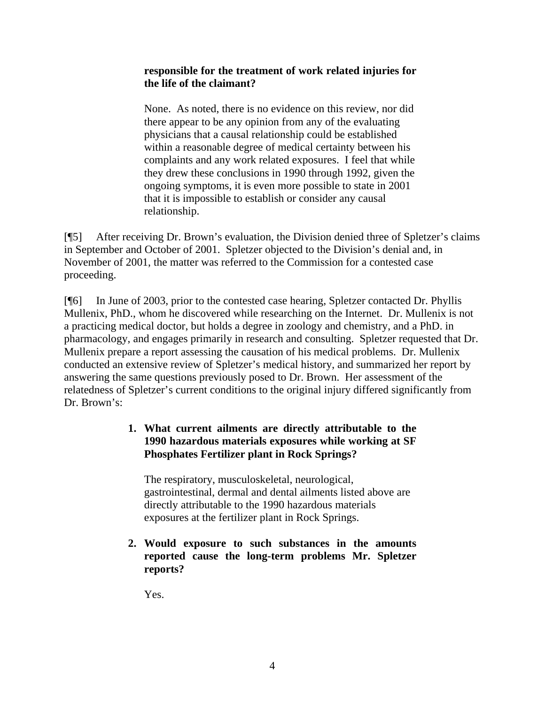### **responsible for the treatment of work related injuries for the life of the claimant?**

None. As noted, there is no evidence on this review, nor did there appear to be any opinion from any of the evaluating physicians that a causal relationship could be established within a reasonable degree of medical certainty between his complaints and any work related exposures. I feel that while they drew these conclusions in 1990 through 1992, given the ongoing symptoms, it is even more possible to state in 2001 that it is impossible to establish or consider any causal relationship.

[¶5] After receiving Dr. Brown's evaluation, the Division denied three of Spletzer's claims in September and October of 2001. Spletzer objected to the Division's denial and, in November of 2001, the matter was referred to the Commission for a contested case proceeding.

[¶6] In June of 2003, prior to the contested case hearing, Spletzer contacted Dr. Phyllis Mullenix, PhD., whom he discovered while researching on the Internet. Dr. Mullenix is not a practicing medical doctor, but holds a degree in zoology and chemistry, and a PhD. in pharmacology, and engages primarily in research and consulting. Spletzer requested that Dr. Mullenix prepare a report assessing the causation of his medical problems. Dr. Mullenix conducted an extensive review of Spletzer's medical history, and summarized her report by answering the same questions previously posed to Dr. Brown. Her assessment of the relatedness of Spletzer's current conditions to the original injury differed significantly from Dr. Brown's:

# **1. What current ailments are directly attributable to the 1990 hazardous materials exposures while working at SF Phosphates Fertilizer plant in Rock Springs?**

The respiratory, musculoskeletal, neurological, gastrointestinal, dermal and dental ailments listed above are directly attributable to the 1990 hazardous materials exposures at the fertilizer plant in Rock Springs.

**2. Would exposure to such substances in the amounts reported cause the long-term problems Mr. Spletzer reports?** 

Yes.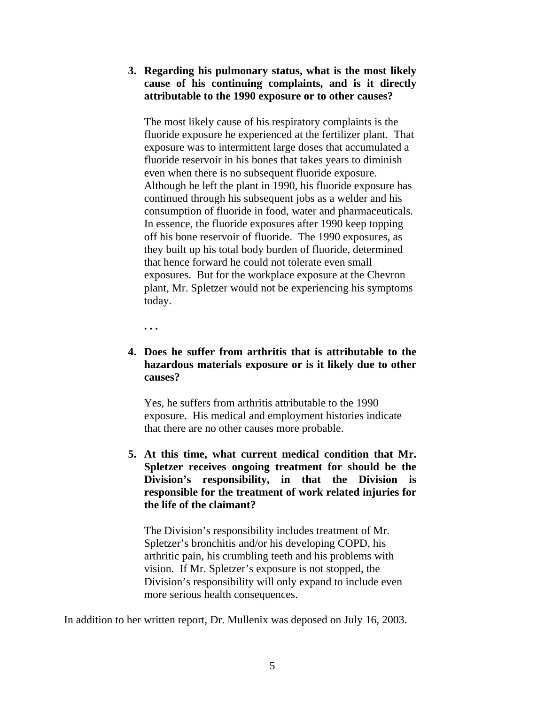**3. Regarding his pulmonary status, what is the most likely cause of his continuing complaints, and is it directly attributable to the 1990 exposure or to other causes?** 

The most likely cause of his respiratory complaints is the fluoride exposure he experienced at the fertilizer plant. That exposure was to intermittent large doses that accumulated a fluoride reservoir in his bones that takes years to diminish even when there is no subsequent fluoride exposure. Although he left the plant in 1990, his fluoride exposure has continued through his subsequent jobs as a welder and his consumption of fluoride in food, water and pharmaceuticals. In essence, the fluoride exposures after 1990 keep topping off his bone reservoir of fluoride. The 1990 exposures, as they built up his total body burden of fluoride, determined that hence forward he could not tolerate even small exposures. But for the workplace exposure at the Chevron plant, Mr. Spletzer would not be experiencing his symptoms today.

**. . .** 

## **4. Does he suffer from arthritis that is attributable to the hazardous materials exposure or is it likely due to other causes?**

Yes, he suffers from arthritis attributable to the 1990 exposure. His medical and employment histories indicate that there are no other causes more probable.

**5. At this time, what current medical condition that Mr. Spletzer receives ongoing treatment for should be the Division's responsibility, in that the Division is responsible for the treatment of work related injuries for the life of the claimant?** 

The Division's responsibility includes treatment of Mr. Spletzer's bronchitis and/or his developing COPD, his arthritic pain, his crumbling teeth and his problems with vision. If Mr. Spletzer's exposure is not stopped, the Division's responsibility will only expand to include even more serious health consequences.

In addition to her written report, Dr. Mullenix was deposed on July 16, 2003.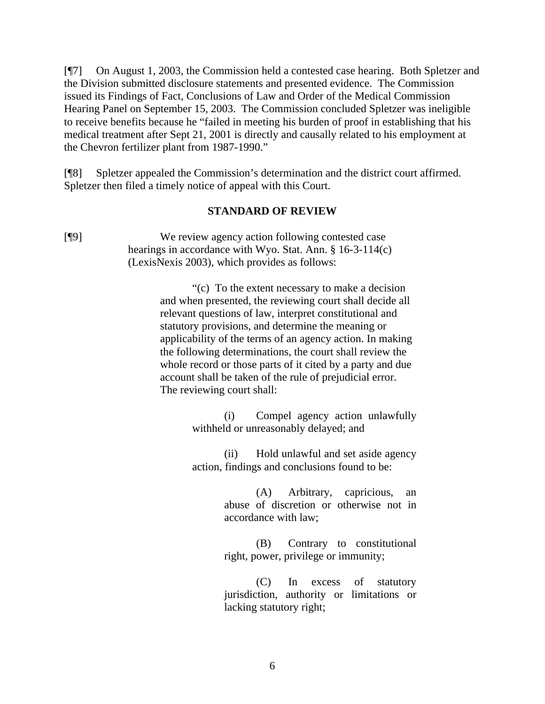[¶7] On August 1, 2003, the Commission held a contested case hearing. Both Spletzer and the Division submitted disclosure statements and presented evidence. The Commission issued its Findings of Fact, Conclusions of Law and Order of the Medical Commission Hearing Panel on September 15, 2003. The Commission concluded Spletzer was ineligible to receive benefits because he "failed in meeting his burden of proof in establishing that his medical treatment after Sept 21, 2001 is directly and causally related to his employment at the Chevron fertilizer plant from 1987-1990."

[¶8] Spletzer appealed the Commission's determination and the district court affirmed. Spletzer then filed a timely notice of appeal with this Court.

#### **STANDARD OF REVIEW**

[¶9] We review agency action following contested case hearings in accordance with Wyo. Stat. Ann. § 16-3-114(c) (LexisNexis 2003), which provides as follows:

> "(c) To the extent necessary to make a decision and when presented, the reviewing court shall decide all relevant questions of law, interpret constitutional and statutory provisions, and determine the meaning or applicability of the terms of an agency action. In making the following determinations, the court shall review the whole record or those parts of it cited by a party and due account shall be taken of the rule of prejudicial error. The reviewing court shall:

> > (i) Compel agency action unlawfully withheld or unreasonably delayed; and

> > (ii) Hold unlawful and set aside agency action, findings and conclusions found to be:

> > > (A) Arbitrary, capricious, an abuse of discretion or otherwise not in accordance with law;

> > > (B) Contrary to constitutional right, power, privilege or immunity;

> > > (C) In excess of statutory jurisdiction, authority or limitations or lacking statutory right;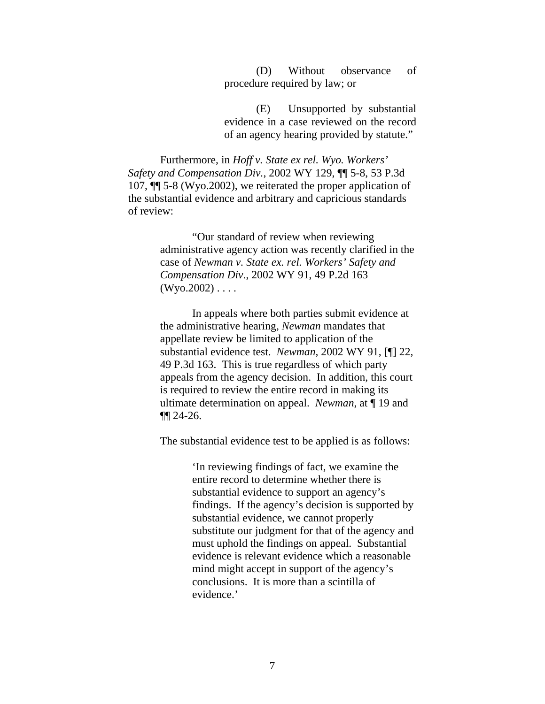(D) Without observance of procedure required by law; or

(E) Unsupported by substantial evidence in a case reviewed on the record of an agency hearing provided by statute."

Furthermore, in *Hoff v. State ex rel. Wyo. Workers' Safety and Compensation Div.*, 2002 WY 129, ¶¶ 5-8, 53 P.3d 107, ¶¶ 5-8 (Wyo.2002), we reiterated the proper application of the substantial evidence and arbitrary and capricious standards of review:

> "Our standard of review when reviewing administrative agency action was recently clarified in the case of *Newman v. State ex. rel. Workers' Safety and Compensation Div*., 2002 WY 91, 49 P.2d 163  $(Wyo.2002) \ldots$

> In appeals where both parties submit evidence at the administrative hearing, *Newman* mandates that appellate review be limited to application of the substantial evidence test. *Newman*, 2002 WY 91, [¶] 22, 49 P.3d 163. This is true regardless of which party appeals from the agency decision. In addition, this court is required to review the entire record in making its ultimate determination on appeal. *Newman*, at ¶ 19 and ¶¶ 24-26.

The substantial evidence test to be applied is as follows:

'In reviewing findings of fact, we examine the entire record to determine whether there is substantial evidence to support an agency's findings. If the agency's decision is supported by substantial evidence, we cannot properly substitute our judgment for that of the agency and must uphold the findings on appeal. Substantial evidence is relevant evidence which a reasonable mind might accept in support of the agency's conclusions. It is more than a scintilla of evidence.'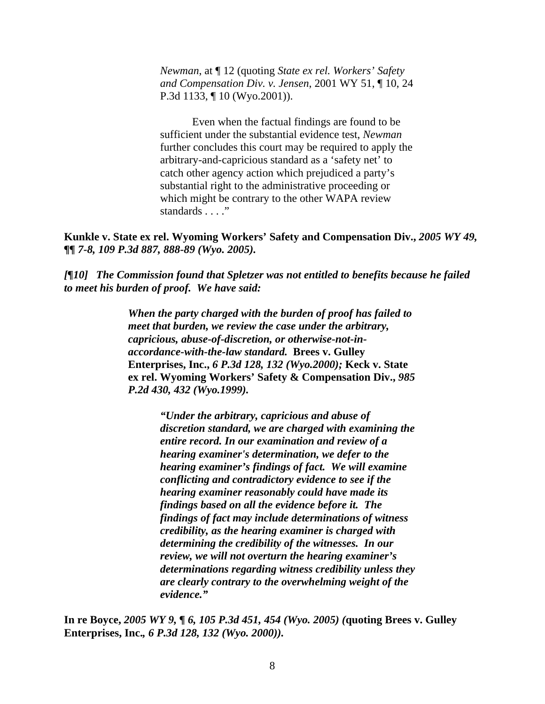*Newman*, at ¶ 12 (quoting *State ex rel. Workers' Safety and Compensation Div. v. Jensen*, 2001 WY 51, ¶ 10, 24 P.3d 1133, ¶ 10 (Wyo.2001)).

Even when the factual findings are found to be sufficient under the substantial evidence test, *Newman* further concludes this court may be required to apply the arbitrary-and-capricious standard as a 'safety net' to catch other agency action which prejudiced a party's substantial right to the administrative proceeding or which might be contrary to the other WAPA review standards . . . ."

**Kunkle v. State ex rel. Wyoming Workers' Safety and Compensation Div.,** *2005 WY 49, ¶¶ 7-8, 109 P.3d 887, 888-89 (Wyo. 2005).* 

*[¶10] The Commission found that Spletzer was not entitled to benefits because he failed to meet his burden of proof. We have said:* 

> *When the party charged with the burden of proof has failed to meet that burden, we review the case under the arbitrary, capricious, abuse-of-discretion, or otherwise-not-inaccordance-with-the-law standard.* **Brees v. Gulley Enterprises, Inc.,** *6 P.3d 128, 132 (Wyo.2000);* **Keck v. State ex rel. Wyoming Workers' Safety & Compensation Div.,** *985 P.2d 430, 432 (Wyo.1999).*

> > *"Under the arbitrary, capricious and abuse of discretion standard, we are charged with examining the entire record. In our examination and review of a hearing examiner's determination, we defer to the hearing examiner's findings of fact. We will examine conflicting and contradictory evidence to see if the hearing examiner reasonably could have made its findings based on all the evidence before it. The findings of fact may include determinations of witness credibility, as the hearing examiner is charged with determining the credibility of the witnesses. In our review, we will not overturn the hearing examiner's determinations regarding witness credibility unless they are clearly contrary to the overwhelming weight of the evidence."*

**In re Boyce,** *2005 WY 9, ¶ 6, 105 P.3d 451, 454 (Wyo. 2005) (***quoting Brees v. Gulley Enterprises, Inc.***, 6 P.3d 128, 132 (Wyo. 2000)).*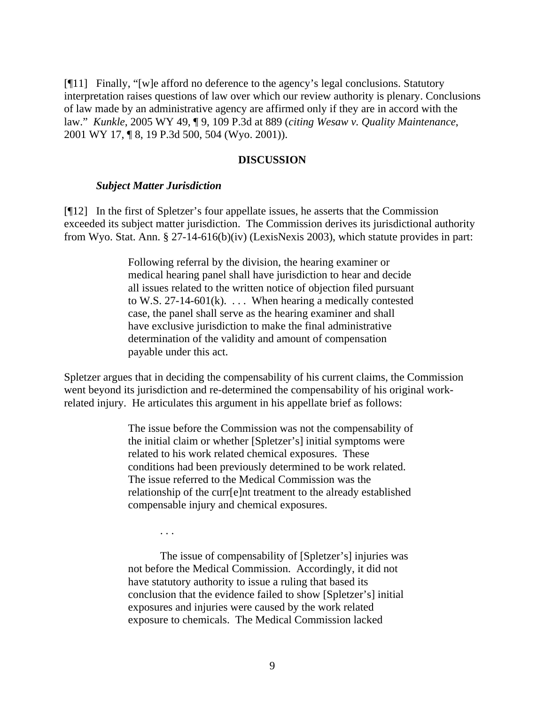[¶11] Finally, "[w]e afford no deference to the agency's legal conclusions. Statutory interpretation raises questions of law over which our review authority is plenary. Conclusions of law made by an administrative agency are affirmed only if they are in accord with the law." *Kunkle*, 2005 WY 49, ¶ 9, 109 P.3d at 889 (*citing Wesaw v. Quality Maintenance*, 2001 WY 17, ¶ 8, 19 P.3d 500, 504 (Wyo. 2001)).

#### **DISCUSSION**

#### *Subject Matter Jurisdiction*

[¶12] In the first of Spletzer's four appellate issues, he asserts that the Commission exceeded its subject matter jurisdiction. The Commission derives its jurisdictional authority from Wyo. Stat. Ann. § 27-14-616(b)(iv) (LexisNexis 2003), which statute provides in part:

> Following referral by the division, the hearing examiner or medical hearing panel shall have jurisdiction to hear and decide all issues related to the written notice of objection filed pursuant to W.S. 27-14-601(k).  $\dots$  When hearing a medically contested case, the panel shall serve as the hearing examiner and shall have exclusive jurisdiction to make the final administrative determination of the validity and amount of compensation payable under this act.

Spletzer argues that in deciding the compensability of his current claims, the Commission went beyond its jurisdiction and re-determined the compensability of his original workrelated injury. He articulates this argument in his appellate brief as follows:

> The issue before the Commission was not the compensability of the initial claim or whether [Spletzer's] initial symptoms were related to his work related chemical exposures. These conditions had been previously determined to be work related. The issue referred to the Medical Commission was the relationship of the curr[e]nt treatment to the already established compensable injury and chemical exposures.

. . .

The issue of compensability of [Spletzer's] injuries was not before the Medical Commission. Accordingly, it did not have statutory authority to issue a ruling that based its conclusion that the evidence failed to show [Spletzer's] initial exposures and injuries were caused by the work related exposure to chemicals. The Medical Commission lacked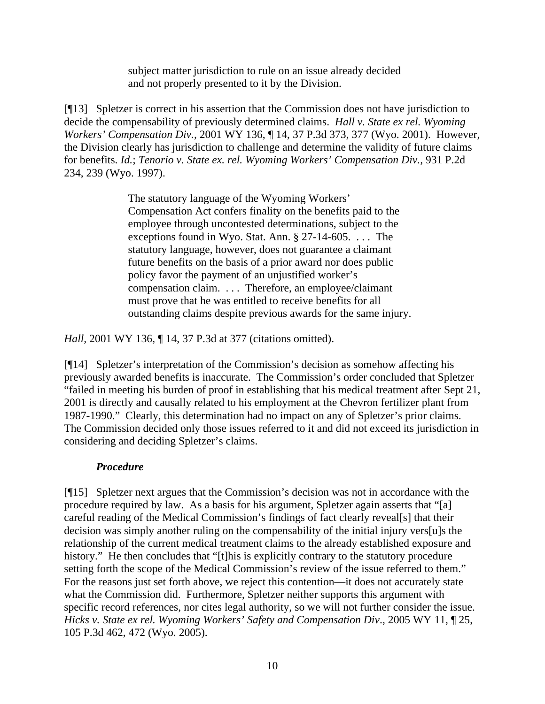subject matter jurisdiction to rule on an issue already decided and not properly presented to it by the Division.

[¶13] Spletzer is correct in his assertion that the Commission does not have jurisdiction to decide the compensability of previously determined claims. *Hall v. State ex rel. Wyoming Workers' Compensation Div.,* 2001 WY 136, ¶ 14, 37 P.3d 373, 377 (Wyo. 2001). However, the Division clearly has jurisdiction to challenge and determine the validity of future claims for benefits. *Id.*; *Tenorio v. State ex. rel. Wyoming Workers' Compensation Div.,* 931 P.2d 234, 239 (Wyo. 1997).

> The statutory language of the Wyoming Workers' Compensation Act confers finality on the benefits paid to the employee through uncontested determinations, subject to the exceptions found in Wyo. Stat. Ann. § 27-14-605. . . . The statutory language, however, does not guarantee a claimant future benefits on the basis of a prior award nor does public policy favor the payment of an unjustified worker's compensation claim. . . . Therefore, an employee/claimant must prove that he was entitled to receive benefits for all outstanding claims despite previous awards for the same injury.

*Hall,* 2001 WY 136, ¶ 14, 37 P.3d at 377 (citations omitted).

[¶14] Spletzer's interpretation of the Commission's decision as somehow affecting his previously awarded benefits is inaccurate. The Commission's order concluded that Spletzer "failed in meeting his burden of proof in establishing that his medical treatment after Sept 21, 2001 is directly and causally related to his employment at the Chevron fertilizer plant from 1987-1990." Clearly, this determination had no impact on any of Spletzer's prior claims. The Commission decided only those issues referred to it and did not exceed its jurisdiction in considering and deciding Spletzer's claims.

# *Procedure*

[¶15] Spletzer next argues that the Commission's decision was not in accordance with the procedure required by law. As a basis for his argument, Spletzer again asserts that "[a] careful reading of the Medical Commission's findings of fact clearly reveal[s] that their decision was simply another ruling on the compensability of the initial injury vers[u]s the relationship of the current medical treatment claims to the already established exposure and history." He then concludes that "[t]his is explicitly contrary to the statutory procedure setting forth the scope of the Medical Commission's review of the issue referred to them." For the reasons just set forth above, we reject this contention—it does not accurately state what the Commission did. Furthermore, Spletzer neither supports this argument with specific record references, nor cites legal authority, so we will not further consider the issue. *Hicks v. State ex rel. Wyoming Workers' Safety and Compensation Div*., 2005 WY 11, ¶ 25, 105 P.3d 462, 472 (Wyo. 2005).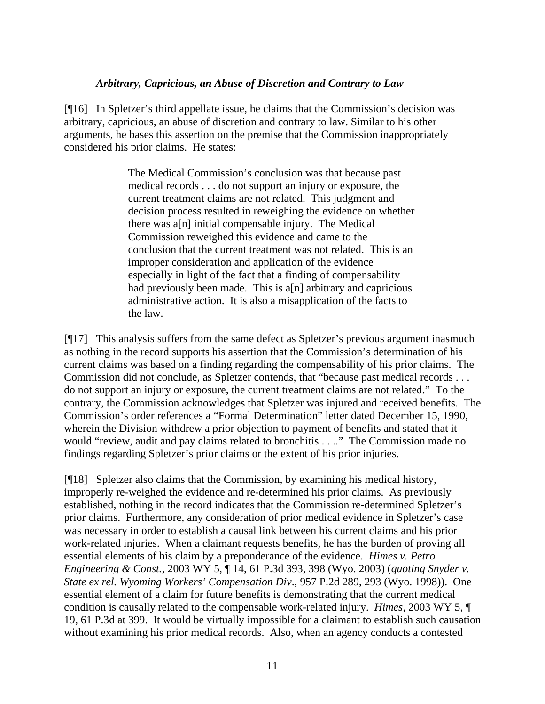#### *Arbitrary, Capricious, an Abuse of Discretion and Contrary to Law*

[¶16] In Spletzer's third appellate issue, he claims that the Commission's decision was arbitrary, capricious, an abuse of discretion and contrary to law. Similar to his other arguments, he bases this assertion on the premise that the Commission inappropriately considered his prior claims. He states:

> The Medical Commission's conclusion was that because past medical records . . . do not support an injury or exposure, the current treatment claims are not related. This judgment and decision process resulted in reweighing the evidence on whether there was a[n] initial compensable injury. The Medical Commission reweighed this evidence and came to the conclusion that the current treatment was not related. This is an improper consideration and application of the evidence especially in light of the fact that a finding of compensability had previously been made. This is a[n] arbitrary and capricious administrative action. It is also a misapplication of the facts to the law.

[¶17] This analysis suffers from the same defect as Spletzer's previous argument inasmuch as nothing in the record supports his assertion that the Commission's determination of his current claims was based on a finding regarding the compensability of his prior claims. The Commission did not conclude, as Spletzer contends, that "because past medical records . . . do not support an injury or exposure, the current treatment claims are not related." To the contrary, the Commission acknowledges that Spletzer was injured and received benefits. The Commission's order references a "Formal Determination" letter dated December 15, 1990, wherein the Division withdrew a prior objection to payment of benefits and stated that it would "review, audit and pay claims related to bronchitis . . .." The Commission made no findings regarding Spletzer's prior claims or the extent of his prior injuries.

[¶18] Spletzer also claims that the Commission, by examining his medical history, improperly re-weighed the evidence and re-determined his prior claims. As previously established, nothing in the record indicates that the Commission re-determined Spletzer's prior claims. Furthermore, any consideration of prior medical evidence in Spletzer's case was necessary in order to establish a causal link between his current claims and his prior work-related injuries. When a claimant requests benefits, he has the burden of proving all essential elements of his claim by a preponderance of the evidence. *Himes v. Petro Engineering & Const.,* 2003 WY 5, ¶ 14, 61 P.3d 393, 398 (Wyo. 2003) (*quoting Snyder v. State ex rel. Wyoming Workers' Compensation Div*., 957 P.2d 289, 293 (Wyo. 1998)). One essential element of a claim for future benefits is demonstrating that the current medical condition is causally related to the compensable work-related injury. *Himes,* 2003 WY 5, ¶ 19, 61 P.3d at 399. It would be virtually impossible for a claimant to establish such causation without examining his prior medical records. Also, when an agency conducts a contested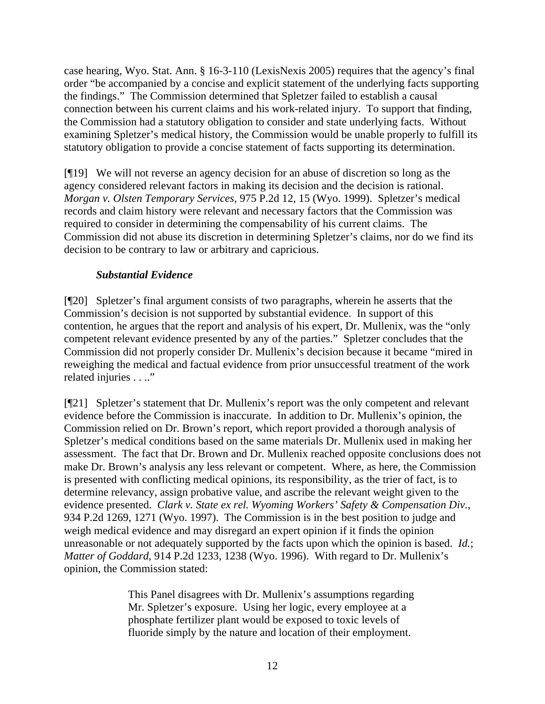case hearing, Wyo. Stat. Ann. § 16-3-110 (LexisNexis 2005) requires that the agency's final order "be accompanied by a concise and explicit statement of the underlying facts supporting the findings." The Commission determined that Spletzer failed to establish a causal connection between his current claims and his work-related injury. To support that finding, the Commission had a statutory obligation to consider and state underlying facts. Without examining Spletzer's medical history, the Commission would be unable properly to fulfill its statutory obligation to provide a concise statement of facts supporting its determination.

[¶19] We will not reverse an agency decision for an abuse of discretion so long as the agency considered relevant factors in making its decision and the decision is rational. *Morgan v. Olsten Temporary Services,* 975 P.2d 12, 15 (Wyo. 1999). Spletzer's medical records and claim history were relevant and necessary factors that the Commission was required to consider in determining the compensability of his current claims. The Commission did not abuse its discretion in determining Spletzer's claims, nor do we find its decision to be contrary to law or arbitrary and capricious.

# *Substantial Evidence*

[¶20] Spletzer's final argument consists of two paragraphs, wherein he asserts that the Commission's decision is not supported by substantial evidence. In support of this contention, he argues that the report and analysis of his expert, Dr. Mullenix, was the "only competent relevant evidence presented by any of the parties." Spletzer concludes that the Commission did not properly consider Dr. Mullenix's decision because it became "mired in reweighing the medical and factual evidence from prior unsuccessful treatment of the work related injuries . . .."

[¶21] Spletzer's statement that Dr. Mullenix's report was the only competent and relevant evidence before the Commission is inaccurate. In addition to Dr. Mullenix's opinion, the Commission relied on Dr. Brown's report, which report provided a thorough analysis of Spletzer's medical conditions based on the same materials Dr. Mullenix used in making her assessment. The fact that Dr. Brown and Dr. Mullenix reached opposite conclusions does not make Dr. Brown's analysis any less relevant or competent. Where, as here, the Commission is presented with conflicting medical opinions, its responsibility, as the trier of fact, is to determine relevancy, assign probative value, and ascribe the relevant weight given to the evidence presented. *Clark v. State ex rel. Wyoming Workers' Safety & Compensation Div.*, 934 P.2d 1269, 1271 (Wyo. 1997). The Commission is in the best position to judge and weigh medical evidence and may disregard an expert opinion if it finds the opinion unreasonable or not adequately supported by the facts upon which the opinion is based. *Id.*; *Matter of Goddard*, 914 P.2d 1233, 1238 (Wyo. 1996). With regard to Dr. Mullenix's opinion, the Commission stated:

> This Panel disagrees with Dr. Mullenix's assumptions regarding Mr. Spletzer's exposure. Using her logic, every employee at a phosphate fertilizer plant would be exposed to toxic levels of fluoride simply by the nature and location of their employment.